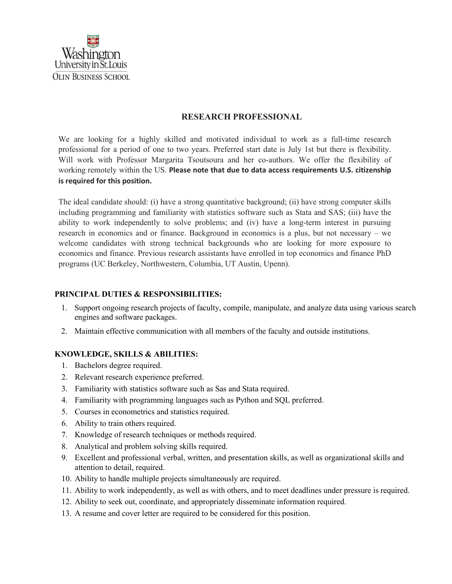

## **RESEARCH PROFESSIONAL**

We are looking for a highly skilled and motivated individual to work as a full-time research professional for a period of one to two years. Preferred start date is July 1st but there is flexibility. Will work with Professor Margarita Tsoutsoura and her co-authors. We offer the flexibility of working remotely within the US. **Please note that due to data access requirements U.S. citizenship is required for this position.**

The ideal candidate should: (i) have a strong quantitative background; (ii) have strong computer skills including programming and familiarity with statistics software such as Stata and SAS; (iii) have the ability to work independently to solve problems; and (iv) have a long-term interest in pursuing research in economics and or finance. Background in economics is a plus, but not necessary – we welcome candidates with strong technical backgrounds who are looking for more exposure to economics and finance. Previous research assistants have enrolled in top economics and finance PhD programs (UC Berkeley, Northwestern, Columbia, UT Austin, Upenn).

## **PRINCIPAL DUTIES & RESPONSIBILITIES:**

- 1. Support ongoing research projects of faculty, compile, manipulate, and analyze data using various search engines and software packages.
- 2. Maintain effective communication with all members of the faculty and outside institutions.

## **KNOWLEDGE, SKILLS & ABILITIES:**

- 1. Bachelors degree required.
- 2. Relevant research experience preferred.
- 3. Familiarity with statistics software such as Sas and Stata required.
- 4. Familiarity with programming languages such as Python and SQL preferred.
- 5. Courses in econometrics and statistics required.
- 6. Ability to train others required.
- 7. Knowledge of research techniques or methods required.
- 8. Analytical and problem solving skills required.
- 9. Excellent and professional verbal, written, and presentation skills, as well as organizational skills and attention to detail, required.
- 10. Ability to handle multiple projects simultaneously are required.
- 11. Ability to work independently, as well as with others, and to meet deadlines under pressure is required.
- 12. Ability to seek out, coordinate, and appropriately disseminate information required.
- 13. A resume and cover letter are required to be considered for this position.